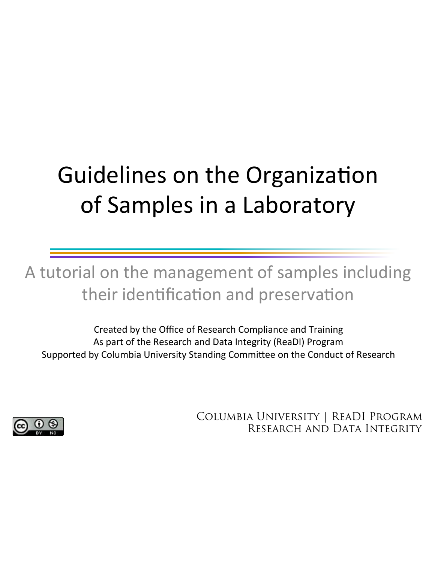# Guidelines on the Organization of Samples in a Laboratory

A tutorial on the management of samples including their identification and preservation

Created by the Office of Research Compliance and Training As part of the Research and Data Integrity (ReaDI) Program Supported by Columbia University Standing Committee on the Conduct of Research



Columbia University | ReaDI Program Research and Data Integrity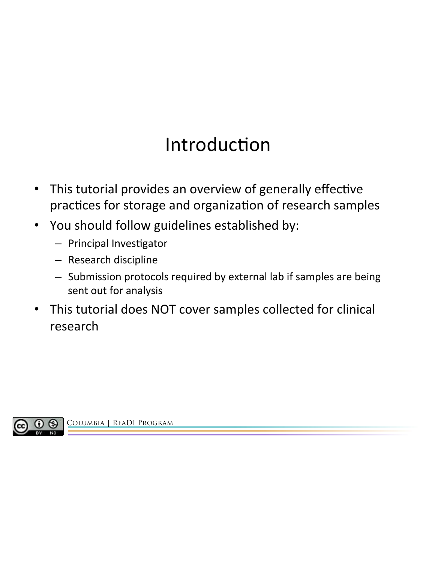# Introduction

- This tutorial provides an overview of generally effective practices for storage and organization of research samples
- You should follow guidelines established by:
	- Principal Investigator
	- Research discipline
	- Submission protocols required by external lab if samples are being sent out for analysis
- This tutorial does NOT cover samples collected for clinical research

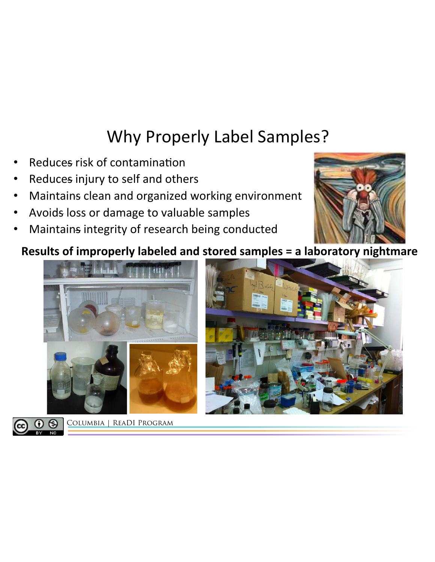#### Why Properly Label Samples?

- Reduces risk of contamination
- Reduces injury to self and others
- Maintains clean and organized working environment
- Avoids loss or damage to valuable samples
- Maintains integrity of research being conducted

#### Results of improperly labeled and stored samples = a laboratory nightmare



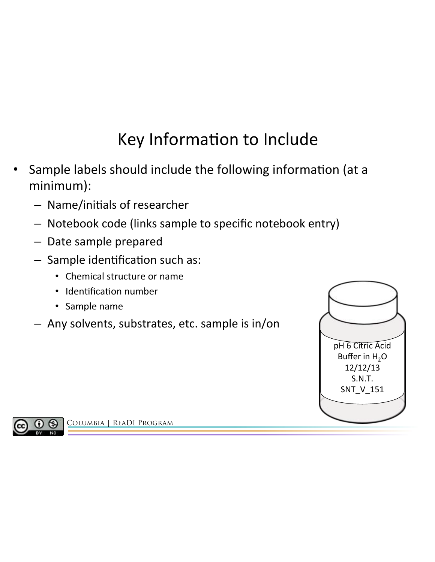# Key Information to Include

- Sample labels should include the following information (at a minimum):
	- Name/ini2als of researcher
	- Notebook code (links sample to specific notebook entry)
	- Date sample prepared
	- $-$  Sample identification such as:
		- Chemical structure or name
		- Identification number
		- Sample name
	- $-$  Any solvents, substrates, etc. sample is in/on



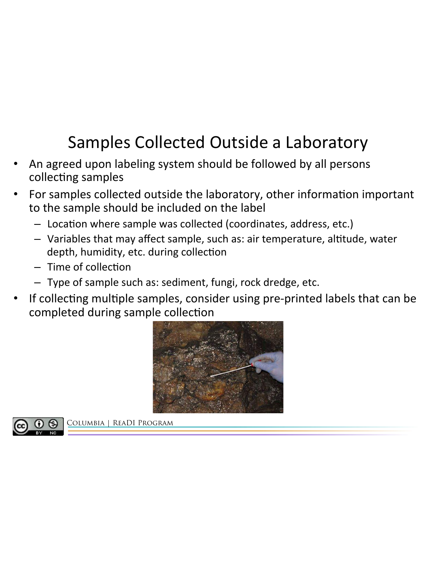# Samples Collected Outside a Laboratory

- An agreed upon labeling system should be followed by all persons collecting samples
- For samples collected outside the laboratory, other information important to the sample should be included on the label
	- $-$  Location where sample was collected (coordinates, address, etc.)
	- Variables that may affect sample, such as: air temperature, altitude, water depth, humidity, etc. during collection
	- $-$  Time of collection
	- Type of sample such as: sediment, fungi, rock dredge, etc.
- If collecting multiple samples, consider using pre-printed labels that can be completed during sample collection



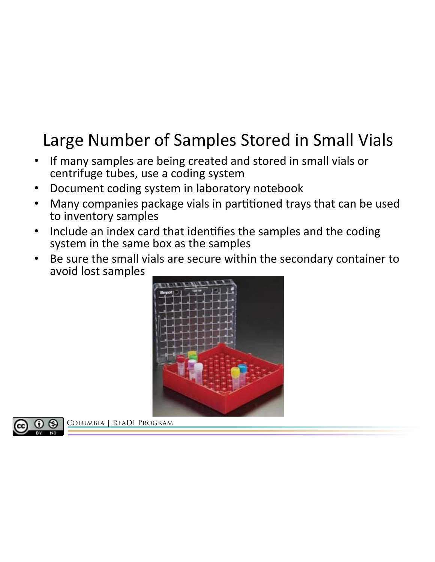#### Large Number of Samples Stored in Small Vials

- If many samples are being created and stored in small vials or centrifuge tubes, use a coding system
- Document coding system in laboratory notebook
- Many companies package vials in partitioned trays that can be used to inventory samples
- Include an index card that identifies the samples and the coding system in the same box as the samples
- Be sure the small vials are secure within the secondary container to avoid lost samples



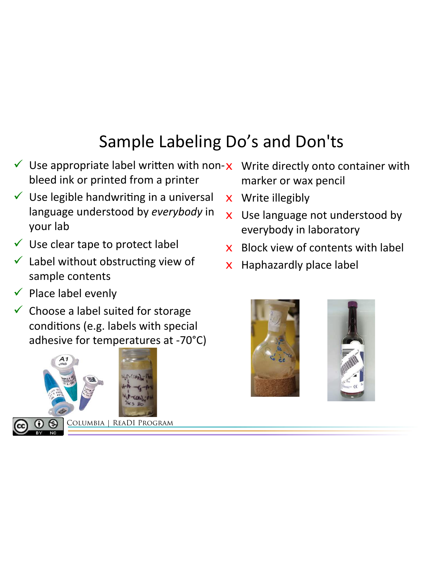# Sample Labeling Do's and Don'ts

- V Use appropriate label written with non- $x$  Write directly onto container with bleed ink or printed from a printer
- $\checkmark$  Use legible handwriting in a universal language understood by everybody in your lab
- $\checkmark$  Use clear tape to protect label
- $\checkmark$  Label without obstructing view of sample contents
- $\checkmark$  Place label evenly
- $\checkmark$  Choose a label suited for storage conditions (e.g. labels with special adhesive for temperatures at -70 $^{\circ}$ C)





- marker or wax pencil
- $x$  Write illegibly
- $x$  Use language not understood by everybody in laboratory
- $x$  Block view of contents with label
- $x$  Haphazardly place label



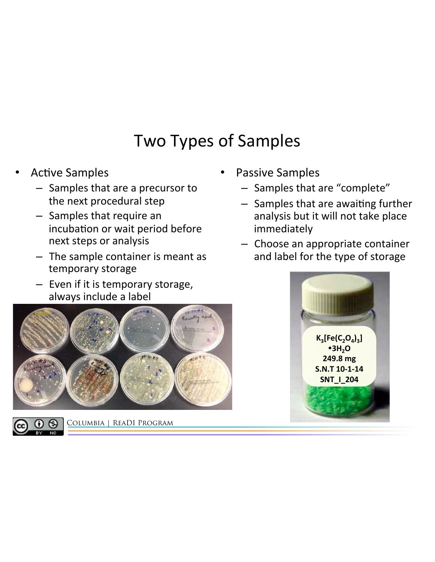#### Two Types of Samples

- **Active Samples** 
	- $-$  Samples that are a precursor to the next procedural step
	- $-$  Samples that require an incubation or wait period before next steps or analysis
	- $-$  The sample container is meant as temporary storage
	- $-$  Even if it is temporary storage, always include a label





- Passive Samples
	- Samples that are "complete"
	- $-$  Samples that are awaiting further analysis but it will not take place immediately
	- $-$  Choose an appropriate container and label for the type of storage

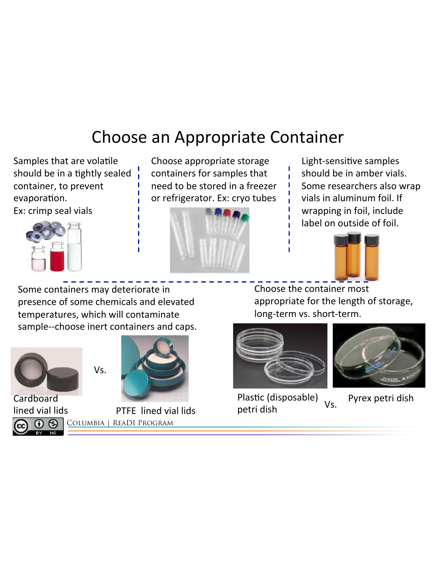#### Choose an Appropriate Container

Samples that are volatile should be in a tightly sealed container, to prevent evaporation.

Ex: crimp seal vials



Choose appropriate storage containers for samples that need to be stored in a freezer or refrigerator. Ex: cryo tubes



Light-sensitive samples should be in amber vials. Some researchers also wrap vials in aluminum foil. If wrapping in foil, include label on outside of foil.



Some containers may deteriorate in presence of some chemicals and elevated temperatures, which will contaminate sample--choose inert containers and caps.



**Cardboard** lined vial lids റ ഒ



Columbia | ReaDI Program PTFE lined vial lids Choose the container most appropriate for the length of storage, long-term vs. short-term.





Plastic (disposable) petri dish

Vs. Pyrex petri dish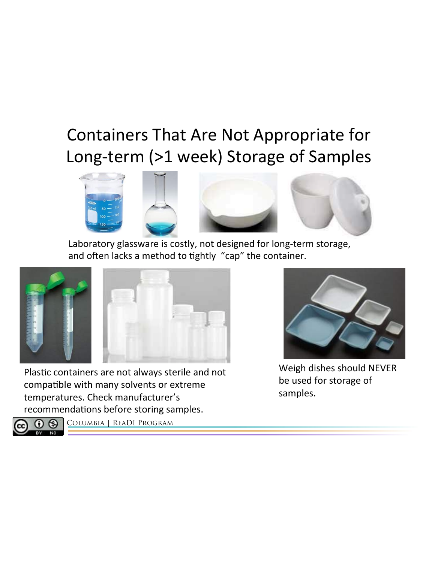#### Containers That Are Not Appropriate for Long-term (>1 week) Storage of Samples



Laboratory glassware is costly, not designed for long-term storage, and often lacks a method to tightly "cap" the container.



Plastic containers are not always sterile and not compatible with many solvents or extreme temperatures. Check manufacturer's recommendations before storing samples.



Weigh dishes should NEVER be used for storage of samples. 

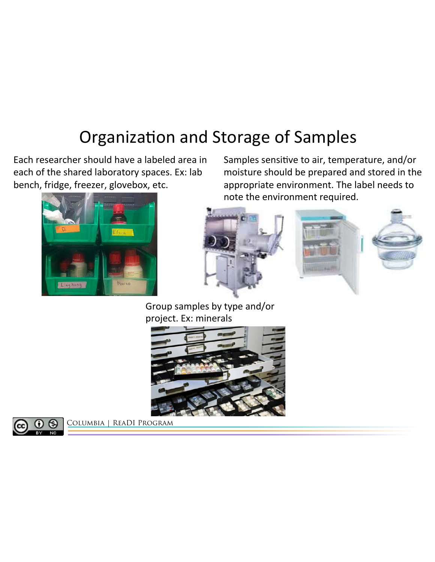#### Organization and Storage of Samples

Each researcher should have a labeled area in each of the shared laboratory spaces. Ex: lab bench, fridge, freezer, glovebox, etc.



Samples sensitive to air, temperature, and/or moisture should be prepared and stored in the appropriate environment. The label needs to note the environment required.



Group samples by type and/or project. Ex: minerals



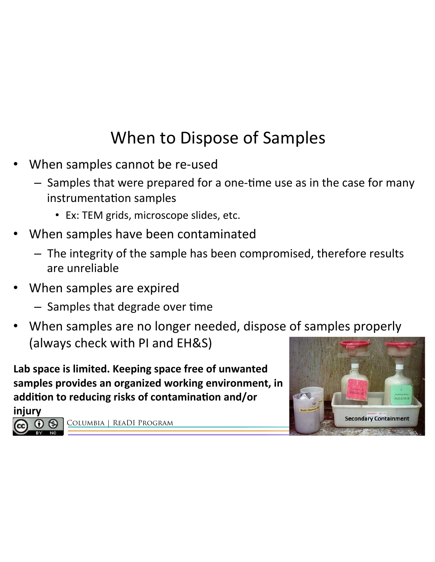### When to Dispose of Samples

- When samples cannot be re-used
	- $-$  Samples that were prepared for a one-time use as in the case for many instrumentation samples
		- Ex: TEM grids, microscope slides, etc.
- When samples have been contaminated
	- $-$  The integrity of the sample has been compromised, therefore results are unreliable
- When samples are expired
	- $-$  Samples that degrade over time
- When samples are no longer needed, dispose of samples properly (always check with PI and EH&S)

Lab space is limited. Keeping space free of unwanted samples provides an organized working environment, in addition to reducing risks of contamination and/or

injury 

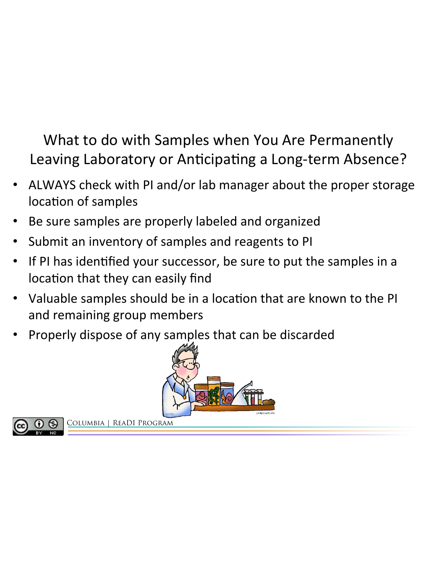What to do with Samples when You Are Permanently Leaving Laboratory or Anticipating a Long-term Absence?

- ALWAYS check with PI and/or lab manager about the proper storage location of samples
- Be sure samples are properly labeled and organized
- Submit an inventory of samples and reagents to PI
- If PI has identified your successor, be sure to put the samples in a location that they can easily find
- Valuable samples should be in a location that are known to the PI and remaining group members
- Properly dispose of any samples that can be discarded



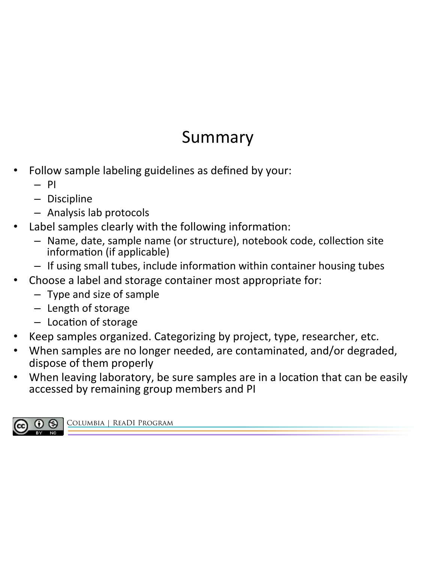#### Summary

- Follow sample labeling guidelines as defined by your:
	- PI
	- Discipline
	- Analysis lab protocols
- Label samples clearly with the following information:
	- Name, date, sample name (or structure), notebook code, collection site information (if applicable)
	- If using small tubes, include information within container housing tubes
	- Choose a label and storage container most appropriate for:
		- $-$  Type and size of sample
		- Length of storage
		- $-$  Location of storage
- Keep samples organized. Categorizing by project, type, researcher, etc.
- When samples are no longer needed, are contaminated, and/or degraded, dispose of them properly
- When leaving laboratory, be sure samples are in a location that can be easily accessed by remaining group members and PI

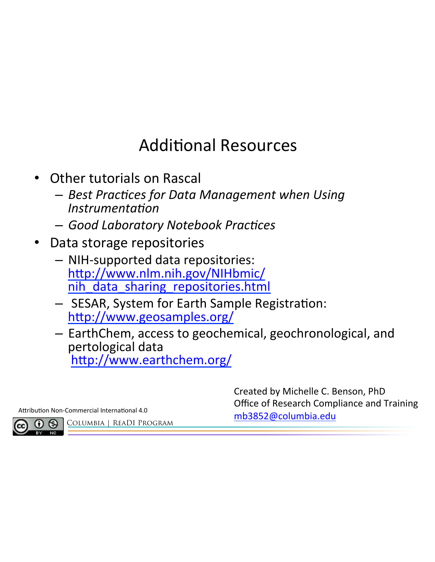#### **Additional Resources**

- **Other tutorials on Rascal** 
	- $-$  Best Practices for Data Management when Using Instrumentation
	- $-$  Good Laboratory Notebook Practices
- Data storage repositories
	- $-$  NIH-supported data repositories: http://www.nlm.nih.gov/NIHbmic/ nih\_data\_sharing\_repositories.html
	- $-$  SESAR, System for Earth Sample Registration: http://www.geosamples.org/
	- $-$  EarthChem, access to geochemical, geochronological, and pertological data http://www.earthchem.org/

Columbia | ReaDI Program

Created by Michelle C. Benson, PhD Office of Research Compliance and Training Attribution Non-Commercial International 4.0<br>
and an Executive COLUMBIA | READI PROGRAM **black** and a strategy and a strategy of the COLUMBIA | READI PROGRAM